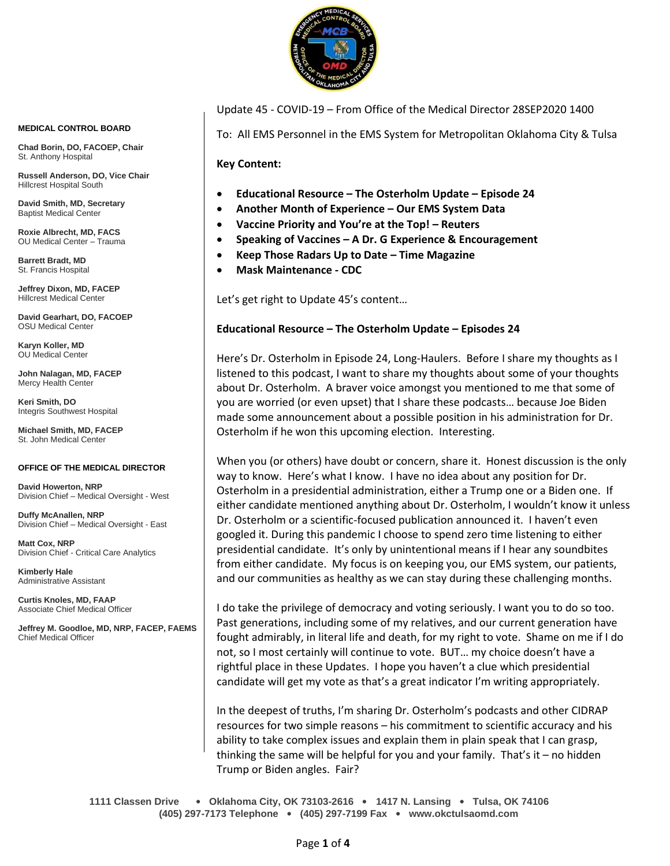

**MEDICAL CONTROL BOARD**

**Chad Borin, DO, FACOEP, Chair**  St. Anthony Hospital

**Russell Anderson, DO, Vice Chair** Hillcrest Hospital South

**David Smith, MD, Secretary** Baptist Medical Center

**Roxie Albrecht, MD, FACS** OU Medical Center – Trauma

**Barrett Bradt, MD** St. Francis Hospital

**Jeffrey Dixon, MD, FACEP** Hillcrest Medical Center

**David Gearhart, DO, FACOEP** OSU Medical Center

**Karyn Koller, MD** OU Medical Center

**John Nalagan, MD, FACEP** Mercy Health Center

**Keri Smith, DO** Integris Southwest Hospital

**Michael Smith, MD, FACEP** St. John Medical Center

#### **OFFICE OF THE MEDICAL DIRECTOR**

**David Howerton, NRP** Division Chief – Medical Oversight - West

**Duffy McAnallen, NRP** Division Chief – Medical Oversight - East

**Matt Cox, NRP** Division Chief - Critical Care Analytics

**Kimberly Hale** Administrative Assistant

**Curtis Knoles, MD, FAAP** Associate Chief Medical Officer

**Jeffrey M. Goodloe, MD, NRP, FACEP, FAEMS** Chief Medical Officer

Update 45 - COVID-19 – From Office of the Medical Director 28SEP2020 1400

To: All EMS Personnel in the EMS System for Metropolitan Oklahoma City & Tulsa

**Key Content:**

- **Educational Resource – The Osterholm Update – Episode 24**
- **Another Month of Experience – Our EMS System Data**
- **Vaccine Priority and You're at the Top! – Reuters**
- **Speaking of Vaccines – A Dr. G Experience & Encouragement**
- **Keep Those Radars Up to Date – Time Magazine**
- **Mask Maintenance - CDC**

Let's get right to Update 45's content…

#### **Educational Resource – The Osterholm Update – Episodes 24**

Here's Dr. Osterholm in Episode 24, Long-Haulers. Before I share my thoughts as I listened to this podcast, I want to share my thoughts about some of your thoughts about Dr. Osterholm. A braver voice amongst you mentioned to me that some of you are worried (or even upset) that I share these podcasts… because Joe Biden made some announcement about a possible position in his administration for Dr. Osterholm if he won this upcoming election. Interesting.

When you (or others) have doubt or concern, share it. Honest discussion is the only way to know. Here's what I know. I have no idea about any position for Dr. Osterholm in a presidential administration, either a Trump one or a Biden one. If either candidate mentioned anything about Dr. Osterholm, I wouldn't know it unless Dr. Osterholm or a scientific-focused publication announced it. I haven't even googled it. During this pandemic I choose to spend zero time listening to either presidential candidate. It's only by unintentional means if I hear any soundbites from either candidate. My focus is on keeping you, our EMS system, our patients, and our communities as healthy as we can stay during these challenging months.

I do take the privilege of democracy and voting seriously. I want you to do so too. Past generations, including some of my relatives, and our current generation have fought admirably, in literal life and death, for my right to vote. Shame on me if I do not, so I most certainly will continue to vote. BUT… my choice doesn't have a rightful place in these Updates. I hope you haven't a clue which presidential candidate will get my vote as that's a great indicator I'm writing appropriately.

In the deepest of truths, I'm sharing Dr. Osterholm's podcasts and other CIDRAP resources for two simple reasons – his commitment to scientific accuracy and his ability to take complex issues and explain them in plain speak that I can grasp, thinking the same will be helpful for you and your family. That's it – no hidden Trump or Biden angles. Fair?

**1111 Classen Drive** • **Oklahoma City, OK 73103-2616** • **1417 N. Lansing** • **Tulsa, OK 74106 (405) 297-7173 Telephone** • **(405) 297-7199 Fax** • **www.okctulsaomd.com**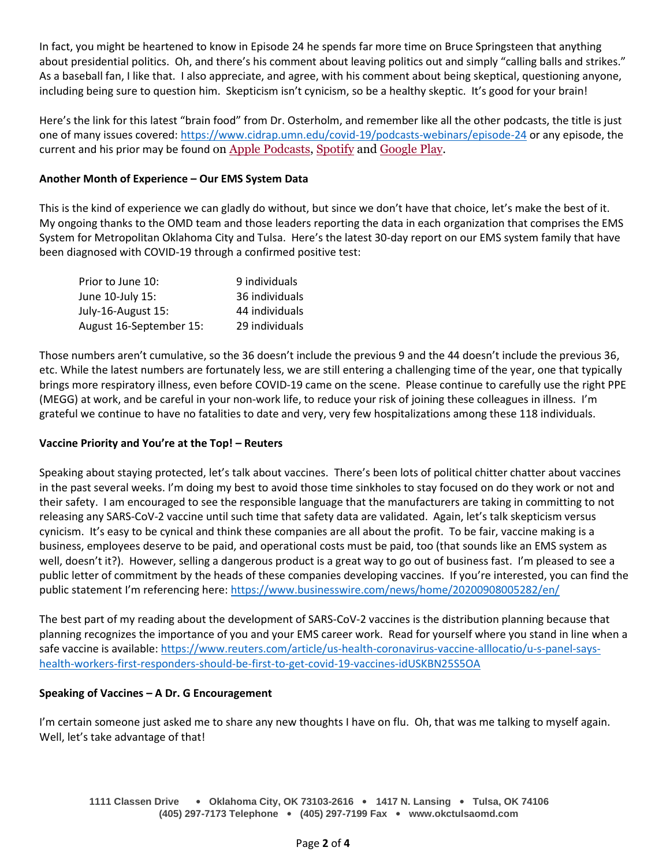In fact, you might be heartened to know in Episode 24 he spends far more time on Bruce Springsteen that anything about presidential politics. Oh, and there's his comment about leaving politics out and simply "calling balls and strikes." As a baseball fan, I like that. I also appreciate, and agree, with his comment about being skeptical, questioning anyone, including being sure to question him. Skepticism isn't cynicism, so be a healthy skeptic. It's good for your brain!

Here's the link for this latest "brain food" from Dr. Osterholm, and remember like all the other podcasts, the title is just one of many issues covered:<https://www.cidrap.umn.edu/covid-19/podcasts-webinars/episode-24> or any episode, the current and his prior may be found on Apple [Podcasts,](https://podcasts.apple.com/us/podcast/the-osterholm-update-covid-19/id1504360345) [Spotify](https://open.spotify.com/show/0ymlroFYVlSAnoq0uqECGx) and [Google Play.](https://play.google.com/music/listen#/ps/I3fioaqqcke5hdct6rzyryvyysa)

# **Another Month of Experience – Our EMS System Data**

This is the kind of experience we can gladly do without, but since we don't have that choice, let's make the best of it. My ongoing thanks to the OMD team and those leaders reporting the data in each organization that comprises the EMS System for Metropolitan Oklahoma City and Tulsa. Here's the latest 30-day report on our EMS system family that have been diagnosed with COVID-19 through a confirmed positive test:

| Prior to June 10:       | 9 individuals  |
|-------------------------|----------------|
| June 10-July 15:        | 36 individuals |
| July-16-August 15:      | 44 individuals |
| August 16-September 15: | 29 individuals |

Those numbers aren't cumulative, so the 36 doesn't include the previous 9 and the 44 doesn't include the previous 36, etc. While the latest numbers are fortunately less, we are still entering a challenging time of the year, one that typically brings more respiratory illness, even before COVID-19 came on the scene. Please continue to carefully use the right PPE (MEGG) at work, and be careful in your non-work life, to reduce your risk of joining these colleagues in illness. I'm grateful we continue to have no fatalities to date and very, very few hospitalizations among these 118 individuals.

## **Vaccine Priority and You're at the Top! – Reuters**

Speaking about staying protected, let's talk about vaccines. There's been lots of political chitter chatter about vaccines in the past several weeks. I'm doing my best to avoid those time sinkholes to stay focused on do they work or not and their safety. I am encouraged to see the responsible language that the manufacturers are taking in committing to not releasing any SARS-CoV-2 vaccine until such time that safety data are validated. Again, let's talk skepticism versus cynicism. It's easy to be cynical and think these companies are all about the profit. To be fair, vaccine making is a business, employees deserve to be paid, and operational costs must be paid, too (that sounds like an EMS system as well, doesn't it?). However, selling a dangerous product is a great way to go out of business fast. I'm pleased to see a public letter of commitment by the heads of these companies developing vaccines. If you're interested, you can find the public statement I'm referencing here:<https://www.businesswire.com/news/home/20200908005282/en/>

The best part of my reading about the development of SARS-CoV-2 vaccines is the distribution planning because that planning recognizes the importance of you and your EMS career work. Read for yourself where you stand in line when a safe vaccine is available: [https://www.reuters.com/article/us-health-coronavirus-vaccine-alllocatio/u-s-panel-says](https://www.reuters.com/article/us-health-coronavirus-vaccine-alllocatio/u-s-panel-says-health-workers-first-responders-should-be-first-to-get-covid-19-vaccines-idUSKBN25S5OA)[health-workers-first-responders-should-be-first-to-get-covid-19-vaccines-idUSKBN25S5OA](https://www.reuters.com/article/us-health-coronavirus-vaccine-alllocatio/u-s-panel-says-health-workers-first-responders-should-be-first-to-get-covid-19-vaccines-idUSKBN25S5OA)

## **Speaking of Vaccines – A Dr. G Encouragement**

I'm certain someone just asked me to share any new thoughts I have on flu. Oh, that was me talking to myself again. Well, let's take advantage of that!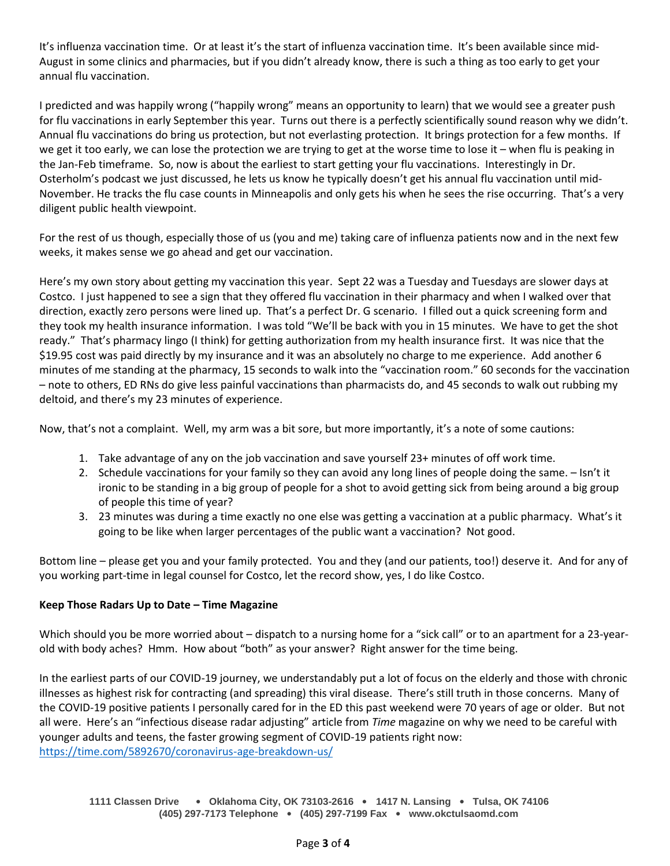It's influenza vaccination time. Or at least it's the start of influenza vaccination time. It's been available since mid-August in some clinics and pharmacies, but if you didn't already know, there is such a thing as too early to get your annual flu vaccination.

I predicted and was happily wrong ("happily wrong" means an opportunity to learn) that we would see a greater push for flu vaccinations in early September this year. Turns out there is a perfectly scientifically sound reason why we didn't. Annual flu vaccinations do bring us protection, but not everlasting protection. It brings protection for a few months. If we get it too early, we can lose the protection we are trying to get at the worse time to lose it – when flu is peaking in the Jan-Feb timeframe. So, now is about the earliest to start getting your flu vaccinations. Interestingly in Dr. Osterholm's podcast we just discussed, he lets us know he typically doesn't get his annual flu vaccination until mid-November. He tracks the flu case counts in Minneapolis and only gets his when he sees the rise occurring. That's a very diligent public health viewpoint.

For the rest of us though, especially those of us (you and me) taking care of influenza patients now and in the next few weeks, it makes sense we go ahead and get our vaccination.

Here's my own story about getting my vaccination this year. Sept 22 was a Tuesday and Tuesdays are slower days at Costco. I just happened to see a sign that they offered flu vaccination in their pharmacy and when I walked over that direction, exactly zero persons were lined up. That's a perfect Dr. G scenario. I filled out a quick screening form and they took my health insurance information. I was told "We'll be back with you in 15 minutes. We have to get the shot ready." That's pharmacy lingo (I think) for getting authorization from my health insurance first. It was nice that the \$19.95 cost was paid directly by my insurance and it was an absolutely no charge to me experience. Add another 6 minutes of me standing at the pharmacy, 15 seconds to walk into the "vaccination room." 60 seconds for the vaccination – note to others, ED RNs do give less painful vaccinations than pharmacists do, and 45 seconds to walk out rubbing my deltoid, and there's my 23 minutes of experience.

Now, that's not a complaint. Well, my arm was a bit sore, but more importantly, it's a note of some cautions:

- 1. Take advantage of any on the job vaccination and save yourself 23+ minutes of off work time.
- 2. Schedule vaccinations for your family so they can avoid any long lines of people doing the same. Isn't it ironic to be standing in a big group of people for a shot to avoid getting sick from being around a big group of people this time of year?
- 3. 23 minutes was during a time exactly no one else was getting a vaccination at a public pharmacy. What's it going to be like when larger percentages of the public want a vaccination? Not good.

Bottom line – please get you and your family protected. You and they (and our patients, too!) deserve it. And for any of you working part-time in legal counsel for Costco, let the record show, yes, I do like Costco.

## **Keep Those Radars Up to Date – Time Magazine**

Which should you be more worried about – dispatch to a nursing home for a "sick call" or to an apartment for a 23-yearold with body aches? Hmm. How about "both" as your answer? Right answer for the time being.

In the earliest parts of our COVID-19 journey, we understandably put a lot of focus on the elderly and those with chronic illnesses as highest risk for contracting (and spreading) this viral disease. There's still truth in those concerns. Many of the COVID-19 positive patients I personally cared for in the ED this past weekend were 70 years of age or older. But not all were. Here's an "infectious disease radar adjusting" article from *Time* magazine on why we need to be careful with younger adults and teens, the faster growing segment of COVID-19 patients right now: <https://time.com/5892670/coronavirus-age-breakdown-us/>